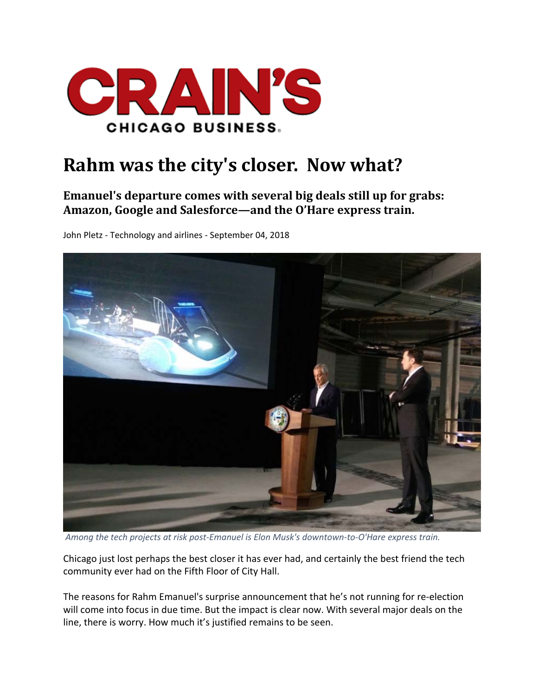

## **Rahm was the city's closer. Now what?**

## **Emanuel's departure comes with several big deals still up for grabs: Amazon, Google and Salesforce—and the O'Hare express train.**

John Pletz ‐ Technology and airlines ‐ September 04, 2018



Among the tech projects at risk post-Emanuel is Elon Musk's downtown-to-O'Hare express train.

Chicago just lost perhaps the best closer it has ever had, and certainly the best friend the tech community ever had on the Fifth Floor of City Hall.

The reasons for Rahm Emanuel's surprise announcement that he's not running for re‐election will come into focus in due time. But the impact is clear now. With several major deals on the line, there is worry. How much it's justified remains to be seen.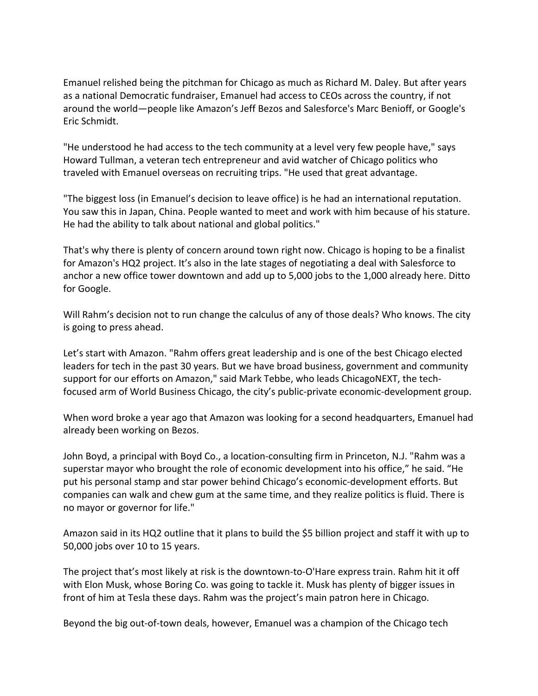Emanuel relished being the pitchman for Chicago as much as Richard M. Daley. But after years as a national Democratic fundraiser, Emanuel had access to CEOs across the country, if not around the world—people like Amazon's Jeff Bezos and Salesforce's Marc Benioff, or Google's Eric Schmidt.

"He understood he had access to the tech community at a level very few people have," says Howard Tullman, a veteran tech entrepreneur and avid watcher of Chicago politics who traveled with Emanuel overseas on recruiting trips. "He used that great advantage.

"The biggest loss (in Emanuel's decision to leave office) is he had an international reputation. You saw this in Japan, China. People wanted to meet and work with him because of his stature. He had the ability to talk about national and global politics."

That's why there is plenty of concern around town right now. Chicago is hoping to be a finalist for Amazon's HQ2 project. It's also in the late stages of negotiating a deal with Salesforce to anchor a new office tower downtown and add up to 5,000 jobs to the 1,000 already here. Ditto for Google.

Will Rahm's decision not to run change the calculus of any of those deals? Who knows. The city is going to press ahead.

Let's start with Amazon. "Rahm offers great leadership and is one of the best Chicago elected leaders for tech in the past 30 years. But we have broad business, government and community support for our efforts on Amazon," said Mark Tebbe, who leads ChicagoNEXT, the tech‐ focused arm of World Business Chicago, the city's public‐private economic‐development group.

When word broke a year ago that Amazon was looking for a second headquarters, Emanuel had already been working on Bezos.

John Boyd, a principal with Boyd Co., a location‐consulting firm in Princeton, N.J. "Rahm was a superstar mayor who brought the role of economic development into his office," he said. "He put his personal stamp and star power behind Chicago's economic‐development efforts. But companies can walk and chew gum at the same time, and they realize politics is fluid. There is no mayor or governor for life."

Amazon said in its HQ2 outline that it plans to build the \$5 billion project and staff it with up to 50,000 jobs over 10 to 15 years.

The project that's most likely at risk is the downtown‐to‐O'Hare express train. Rahm hit it off with Elon Musk, whose Boring Co. was going to tackle it. Musk has plenty of bigger issues in front of him at Tesla these days. Rahm was the project's main patron here in Chicago.

Beyond the big out‐of‐town deals, however, Emanuel was a champion of the Chicago tech